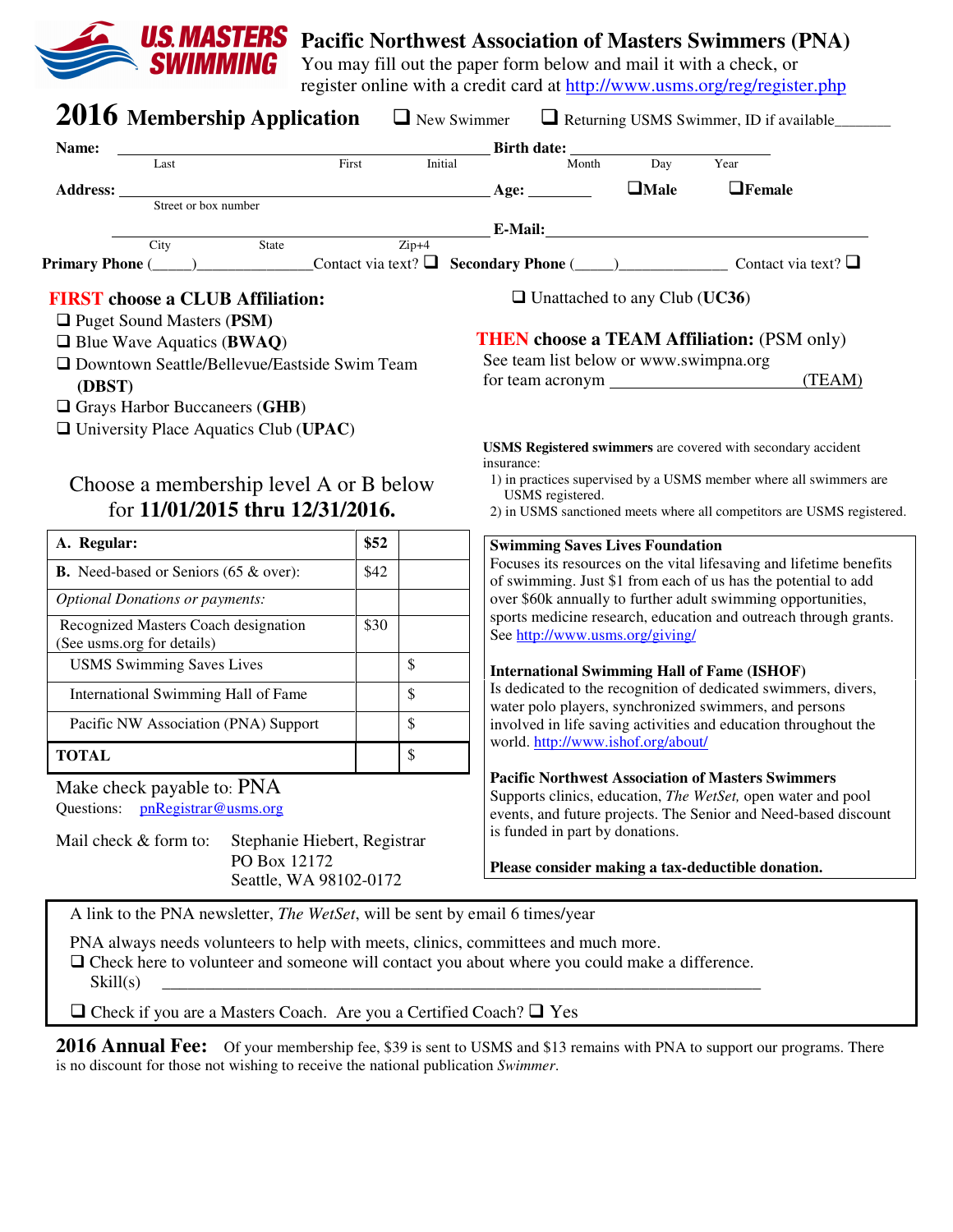

# **Pacific Northwest Association of Masters Swimmers (PNA)**

You may fill out the paper form below and mail it with a check, or register online with a credit card at http://www.usms.org/reg/register.php

| Name:<br>Last                                                                                                                      | First | Initial | Birth date: $\frac{1}{\text{Month}}$ D             | Day         | Year                                                                                                                           |
|------------------------------------------------------------------------------------------------------------------------------------|-------|---------|----------------------------------------------------|-------------|--------------------------------------------------------------------------------------------------------------------------------|
| Address: _____                                                                                                                     |       |         | Age: $\qquad \qquad$                               | $\Box$ Male | $\Box$ Female                                                                                                                  |
| Street or box number                                                                                                               |       |         |                                                    |             |                                                                                                                                |
| State<br>City                                                                                                                      |       | $Zip+4$ |                                                    |             | E-Mail: E-Mail:                                                                                                                |
| <b>Primary Phone</b> (____) _______________Contact via text? $\Box$ Secondary Phone (____) _______________Contact via text? $\Box$ |       |         |                                                    |             |                                                                                                                                |
| <b>FIRST</b> choose a CLUB Affiliation:                                                                                            |       |         | $\Box$ Unattached to any Club (UC36)               |             |                                                                                                                                |
| <b>Q</b> Puget Sound Masters (PSM)                                                                                                 |       |         |                                                    |             |                                                                                                                                |
| $\Box$ Blue Wave Aquatics (BWAQ)                                                                                                   |       |         |                                                    |             | <b>THEN choose a TEAM Affiliation: (PSM only)</b>                                                                              |
| □ Downtown Seattle/Bellevue/Eastside Swim Team                                                                                     |       |         | See team list below or www.swimpna.org             |             |                                                                                                                                |
| (DBST)                                                                                                                             |       |         |                                                    |             | (TEAM)                                                                                                                         |
| Grays Harbor Buccaneers (GHB)                                                                                                      |       |         |                                                    |             |                                                                                                                                |
| $\Box$ University Place Aquatics Club (UPAC)                                                                                       |       |         |                                                    |             |                                                                                                                                |
|                                                                                                                                    |       |         |                                                    |             | USMS Registered swimmers are covered with secondary accident                                                                   |
|                                                                                                                                    |       |         | insurance:                                         |             | 1) in practices supervised by a USMS member where all swimmers are                                                             |
| Choose a membership level A or B below                                                                                             |       |         | USMS registered.                                   |             |                                                                                                                                |
|                                                                                                                                    |       |         |                                                    |             |                                                                                                                                |
| for 11/01/2015 thru 12/31/2016.                                                                                                    |       |         |                                                    |             | 2) in USMS sanctioned meets where all competitors are USMS registered.                                                         |
|                                                                                                                                    | \$52  |         | <b>Swimming Saves Lives Foundation</b>             |             |                                                                                                                                |
| A. Regular:<br>B. Need-based or Seniors (65 & over):                                                                               | \$42  |         |                                                    |             | Focuses its resources on the vital lifesaving and lifetime benefits                                                            |
| <b>Optional Donations or payments:</b>                                                                                             |       |         |                                                    |             | of swimming. Just \$1 from each of us has the potential to add<br>over \$60k annually to further adult swimming opportunities, |
|                                                                                                                                    |       |         |                                                    |             | sports medicine research, education and outreach through grants.                                                               |
| Recognized Masters Coach designation<br>(See usms.org for details)                                                                 | \$30  |         | See http://www.usms.org/giving/                    |             |                                                                                                                                |
| <b>USMS</b> Swimming Saves Lives                                                                                                   |       | \$      | <b>International Swimming Hall of Fame (ISHOF)</b> |             |                                                                                                                                |
| International Swimming Hall of Fame                                                                                                |       | \$      |                                                    |             | Is dedicated to the recognition of dedicated swimmers, divers,                                                                 |
| Pacific NW Association (PNA) Support                                                                                               |       | \$      |                                                    |             | water polo players, synchronized swimmers, and persons<br>involved in life saving activities and education throughout the      |
| <b>TOTAL</b>                                                                                                                       |       | \$      | world. http://www.ishof.org/about/                 |             |                                                                                                                                |
|                                                                                                                                    |       |         |                                                    |             | <b>Pacific Northwest Association of Masters Swimmers</b>                                                                       |
|                                                                                                                                    |       |         |                                                    |             | Supports clinics, education, The WetSet, open water and pool                                                                   |
| Make check payable to: PNA<br>pnRegistrar@usms.org<br>Questions:                                                                   |       |         |                                                    |             | events, and future projects. The Senior and Need-based discount                                                                |
| Mail check & form to:<br>Stephanie Hiebert, Registrar                                                                              |       |         | is funded in part by donations.                    |             |                                                                                                                                |
| PO Box 12172                                                                                                                       |       |         |                                                    |             |                                                                                                                                |
| Seattle, WA 98102-0172                                                                                                             |       |         |                                                    |             | Please consider making a tax-deductible donation.                                                                              |
| A link to the PNA newsletter, <i>The WetSet</i> , will be sent by email 6 times/year                                               |       |         |                                                    |             |                                                                                                                                |

 $\Box$  Check if you are a Masters Coach. Are you a Certified Coach?  $\Box$  Yes

**2016 Annual Fee:** Of your membership fee, \$39 is sent to USMS and \$13 remains with PNA to support our programs. There is no discount for those not wishing to receive the national publication *Swimmer*.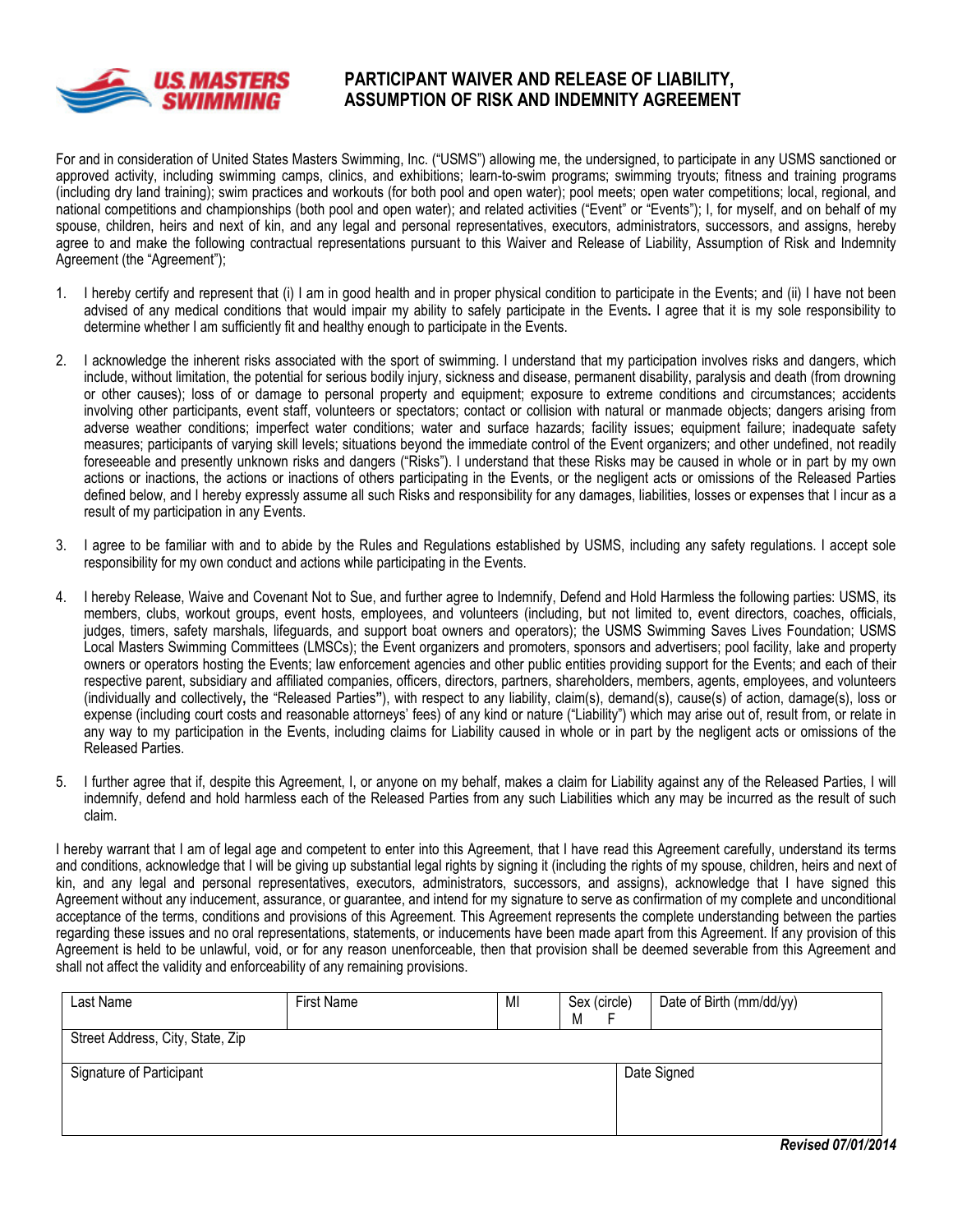

#### PARTICIPANT WAIVER AND RELEASE OF LIABILITY, ASSUMPTION OF RISK AND INDEMNITY AGREEMENT

For and in consideration of United States Masters Swimming, Inc. ("USMS") allowing me, the undersigned, to participate in any USMS sanctioned or approved activity, including swimming camps, clinics, and exhibitions; learn-to-swim programs; swimming tryouts; fitness and training programs (including dry land training); swim practices and workouts (for both pool and open water); pool meets; open water competitions; local, regional, and national competitions and championships (both pool and open water); and related activities ("Event" or "Events"); I, for myself, and on behalf of my spouse, children, heirs and next of kin, and any legal and personal representatives, executors, administrators, successors, and assigns, hereby agree to and make the following contractual representations pursuant to this Waiver and Release of Liability, Assumption of Risk and Indemnity Agreement (the "Agreement");

- 1. I hereby certify and represent that (i) I am in good health and in proper physical condition to participate in the Events; and (ii) I have not been advised of any medical conditions that would impair my ability to safely participate in the Events. I agree that it is my sole responsibility to determine whether I am sufficiently fit and healthy enough to participate in the Events.
- 2. I acknowledge the inherent risks associated with the sport of swimming. I understand that my participation involves risks and dangers, which include, without limitation, the potential for serious bodily injury, sickness and disease, permanent disability, paralysis and death (from drowning or other causes); loss of or damage to personal property and equipment; exposure to extreme conditions and circumstances; accidents involving other participants, event staff, volunteers or spectators; contact or collision with natural or manmade objects; dangers arising from adverse weather conditions; imperfect water conditions; water and surface hazards; facility issues; equipment failure; inadequate safety measures; participants of varying skill levels; situations beyond the immediate control of the Event organizers; and other undefined, not readily foreseeable and presently unknown risks and dangers ("Risks"). I understand that these Risks may be caused in whole or in part by my own actions or inactions, the actions or inactions of others participating in the Events, or the negligent acts or omissions of the Released Parties defined below, and I hereby expressly assume all such Risks and responsibility for any damages, liabilities, losses or expenses that I incur as a result of my participation in any Events.
- 3. I agree to be familiar with and to abide by the Rules and Regulations established by USMS, including any safety regulations. I accept sole responsibility for my own conduct and actions while participating in the Events.
- 4. I hereby Release, Waive and Covenant Not to Sue, and further agree to Indemnify, Defend and Hold Harmless the following parties: USMS, its members, clubs, workout groups, event hosts, employees, and volunteers (including, but not limited to, event directors, coaches, officials, judges, timers, safety marshals, lifeguards, and support boat owners and operators); the USMS Swimming Saves Lives Foundation; USMS Local Masters Swimming Committees (LMSCs); the Event organizers and promoters, sponsors and advertisers; pool facility, lake and property owners or operators hosting the Events; law enforcement agencies and other public entities providing support for the Events; and each of their respective parent, subsidiary and affiliated companies, officers, directors, partners, shareholders, members, agents, employees, and volunteers (individually and collectively, the "Released Parties"), with respect to any liability, claim(s), demand(s), cause(s) of action, damage(s), loss or expense (including court costs and reasonable attorneys' fees) of any kind or nature ("Liability") which may arise out of, result from, or relate in any way to my participation in the Events, including claims for Liability caused in whole or in part by the negligent acts or omissions of the Released Parties.
- 5. I further agree that if, despite this Agreement, I, or anyone on my behalf, makes a claim for Liability against any of the Released Parties, I will indemnify, defend and hold harmless each of the Released Parties from any such Liabilities which any may be incurred as the result of such claim.

I hereby warrant that I am of legal age and competent to enter into this Agreement, that I have read this Agreement carefully, understand its terms and conditions, acknowledge that I will be giving up substantial legal rights by signing it (including the rights of my spouse, children, heirs and next of kin, and any legal and personal representatives, executors, administrators, successors, and assigns), acknowledge that I have signed this Agreement without any inducement, assurance, or guarantee, and intend for my signature to serve as confirmation of my complete and unconditional acceptance of the terms, conditions and provisions of this Agreement. This Agreement represents the complete understanding between the parties regarding these issues and no oral representations, statements, or inducements have been made apart from this Agreement. If any provision of this Agreement is held to be unlawful, void, or for any reason unenforceable, then that provision shall be deemed severable from this Agreement and shall not affect the validity and enforceability of any remaining provisions.

| Last Name                        | First Name | MI | Sex (circle)<br>M | Date of Birth (mm/dd/yy) |
|----------------------------------|------------|----|-------------------|--------------------------|
| Street Address, City, State, Zip |            |    |                   |                          |
| Signature of Participant         |            |    |                   | Date Signed              |
|                                  |            |    |                   |                          |
|                                  |            |    |                   | 1.9914.133.4<br>- -      |